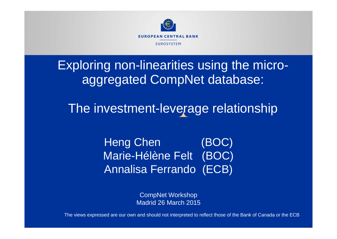

Exploring non-linearities using the microaggregated CompNet database:

The investment-leverage relationship

Heng Chen (BOC) Marie-Hélène Felt (BOC) Annalisa Ferrando (ECB)

> CompNet Workshop Madrid 26 March 2015

The views expressed are our own and should not interpreted to reflect those of the Bank of Canada or the ECB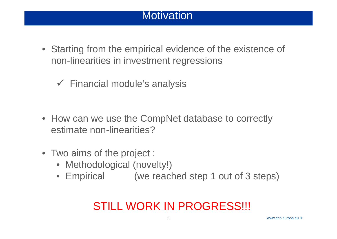## Motivation

• Starting from the empirical evidence of the existence of non-linearities in investment regressions

Financial module's analysis

- How can we use the CompNet database to correctly estimate non-linearities?
- Two aims of the project :
	- Methodological (novelty!)
	- Empirical (we reached step 1 out of 3 steps)

## STILL WORK IN PROGRESS!!!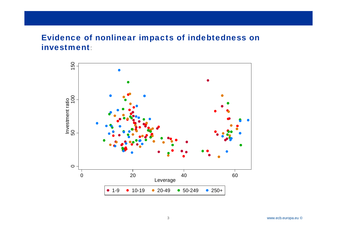### Evidence of nonlinear impacts of indebtedness on investment:

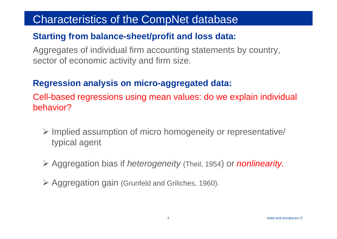### Cha Characteristics of the CompNet database

### **Starting from balance-sheet/profit and loss data:**

Aggregates of individual firm accounting statements by country, sector of economic activity and firm size.

## **Regression analysis on micro-aggregated data:**

Cell-based regressions using mean values: do we explain individual behavior?

- Implied assumption of micro homogeneity or representative/ typical agent
- Aggregation bias if *heterogeneity* (Theil, 1954) or *nonlinearity.*
- Aggregation gain (Grunfeld and Griliches, 1960).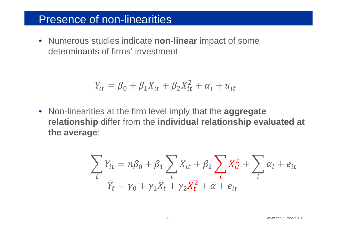## **Presence of non-linearities**

• Numerous studies indicate non-linear impact of some determinants of firms' investment

$$
Y_{it} = \beta_0 + \beta_1 X_{it} + \beta_2 X_{it}^2 + \alpha_i + u_{it}
$$

• Non-linearities at the firm level imply that the aggregate relationship differ from the individual relationship evaluated at the average:

$$
\sum_{i} Y_{it} = n\beta_0 + \beta_1 \sum_{i} X_{it} + \beta_2 \sum_{i} X_{it}^2 + \sum_{i} \alpha_i + e_{it}
$$
  

$$
\overline{Y}_t = \gamma_0 + \gamma_1 \overline{X}_t + \gamma_2 \overline{X}_t^2 + \overline{\alpha} + e_{it}
$$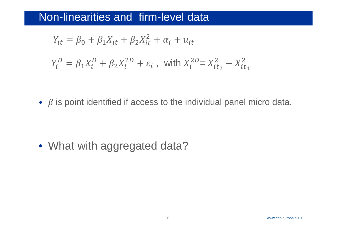## Non-linearities and firm-level data

$$
Y_{it} = \beta_0 + \beta_1 X_{it} + \beta_2 X_{it}^2 + \alpha_i + u_{it}
$$
  

$$
Y_i^D = \beta_1 X_i^D + \beta_2 X_i^{2D} + \varepsilon_i , \text{ with } X_i^{2D} = X_{it_2}^2 - X_{it_1}^2
$$

•  $\beta$  is point identified if access to the individual panel micro data.

• What with aggregated data?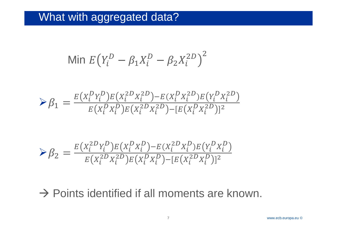## What with aggregated data?

Min 
$$
E(Y_i^D - \beta_1 X_i^D - \beta_2 X_i^{2D})^2
$$

$$
\mathcal{P}_{1} = \frac{E(X_{i}^{D}Y_{i}^{D})E(X_{i}^{2D}X_{i}^{2D}) - E(X_{i}^{D}X_{i}^{2D})E(Y_{i}^{D}X_{i}^{2D})}{E(X_{i}^{D}X_{i}^{D})E(X_{i}^{2D}X_{i}^{2D}) - [E(X_{i}^{D}X_{i}^{2D})]^{2}}
$$

$$
\mathcal{S}_{2} = \frac{E(X_{i}^{2D}Y_{i}^{D})E(X_{i}^{D}X_{i}^{D}) - E(X_{i}^{2D}X_{i}^{D})E(Y_{i}^{D}X_{i}^{D})}{E(X_{i}^{2D}X_{i}^{2D})E(X_{i}^{D}X_{i}^{D}) - [E(X_{i}^{2D}X_{i}^{D})]^{2}}
$$

## $\rightarrow$  Points identified if all moments are known.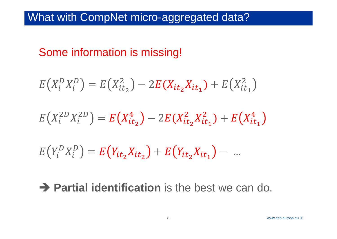## What with CompNet micro-aggregated data?

## Some information is missing!

$$
E(X_i^DX_i^D) = E(X_{it_2}^2) - 2E(X_{it_2}X_{it_1}) + E(X_{it_1}^2)
$$
  
\n
$$
E(X_i^{2D}X_i^{2D}) = E(X_{it_2}^4) - 2E(X_{it_2}^2X_{it_1}^2) + E(X_{it_1}^4)
$$
  
\n
$$
E(Y_i^DX_i^D) = E(Y_{it_2}X_{it_2}) + E(Y_{it_2}X_{it_1}) - \dots
$$

## **Partial identification** is the best we can do.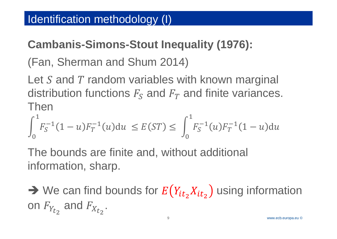## **Cambanis-Simons-Stout Inequality (1976):**

(Fan, Sherman and Shum 2014)

Let S and T random variables with known marginal distribution functions  $F_s$  and  $F_T$  and finite variances. Then

$$
\int_0^1 F_S^{-1}(1-u)F_T^{-1}(u)du \le E(ST) \le \int_0^1 F_S^{-1}(u)F_T^{-1}(1-u)du
$$

The bounds are finite and, without additional information, sharp.

 $\rightarrow$  We can find bounds for  $E(Y_{it_2}X_{it_2})$  using information on  $F_{Y_{t_2}}$  and  $F_{X_{t_2}}$ .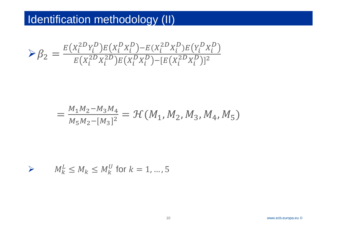## Identification methodology (II)

$$
\mathcal{S}_2 = \frac{E(X_i^{2D}Y_i^D)E(X_i^DX_i^D) - E(X_i^{2D}X_i^D)E(Y_i^DX_i^D)}{E(X_i^{2D}X_i^{2D})E(X_i^DX_i^D) - [E(X_i^{2D}X_i^D)]^2}
$$

$$
=\frac{M_1M_2-M_3M_4}{M_5M_2-[M_3]^2}=\mathcal{H}(M_1,M_2,M_3,M_4,M_5)
$$

$$
\triangleright \qquad M_k^L \le M_k \le M_k^U \text{ for } k = 1, \dots, 5
$$

www.ecb.europa.eu ©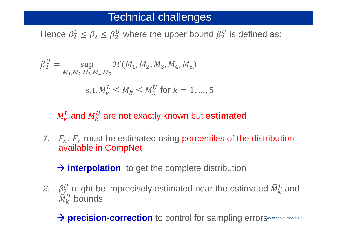## **Technical challenges**

Hence  $\beta_2^L \leq \beta_2 \leq \beta_2^U$  where the upper bound  $\beta_2^U$  is defined as:

$$
\beta_2^U = \sup_{M_1, M_2, M_3, M_4, M_5} \mathcal{H}(M_1, M_2, M_3, M_4, M_5)
$$

s. t.  $M_{k}^{L} \leq M_{k} \leq M_{k}^{U}$  for  $k = 1, ..., 5$ 

## $M_k^L$  and  $M_k^U$  are not exactly known but estimated

1.  $F_X$ ,  $F_Y$  must be estimated using percentiles of the distribution available in CompNet

 $\rightarrow$  interpolation to get the complete distribution

2.  $\beta_2^U$  might be imprecisely estimated near the estimated  $\widehat{M}_k^L$  and  $\widehat{M}_{k}^{U}$  bounds

> precision-correction to control for sampling errorsww.ecb.europa.eu ©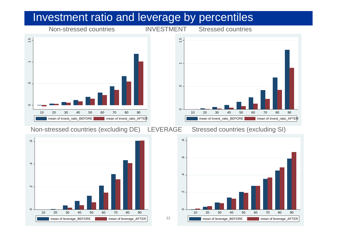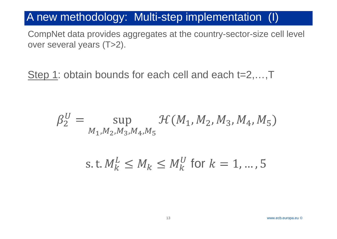## A new methodology: Multi-step implementation (I)

CompNet data provides aggregates at the country-sector-size cell level over several years (T>2).

Step 1: obtain bounds for each cell and each t=2,...,T

$$
\beta_2^U = \sup_{M_1, M_2, M_3, M_4, M_5} \mathcal{H}(M_1, M_2, M_3, M_4, M_5)
$$

s. t.  $M_k^L \leq M_k \leq M_k^U$  for  $k = 1, ..., 5$ 

www.ecb.europa.eu ©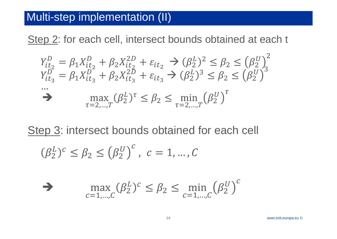## Multi-step implementation (II)

Step 2: for each cell, intersect bounds obtained at each t

$$
Y_{it_2}^D = \beta_1 X_{it_2}^D + \beta_2 X_{it_2}^{2D} + \varepsilon_{it_2} \rightarrow (\beta_2^L)^2 \le \beta_2 \le (\beta_2^U)^2
$$
  
\n
$$
Y_{it_3}^D = \beta_1 X_{it_3}^D + \beta_2 X_{it_3}^{2D} + \varepsilon_{it_3} \rightarrow (\beta_2^L)^3 \le \beta_2 \le (\beta_2^U)^3
$$
  
\n
$$
\dots \longrightarrow \max_{\tau=2,\dots,T} (\beta_2^L)^{\tau} \le \beta_2 \le \min_{\tau=2,\dots,T} (\beta_2^U)^{\tau}
$$

Step 3: intersect bounds obtained for each cell

$$
(\beta_2^L)^c \le \beta_2 \le (\beta_2^U)^c, \ c = 1, \ldots, C
$$

$$
\sum_{c=1,\dots,C} \max(\beta_2^L)^c \le \beta_2 \le \min_{c=1,\dots,C} (\beta_2^U)^c
$$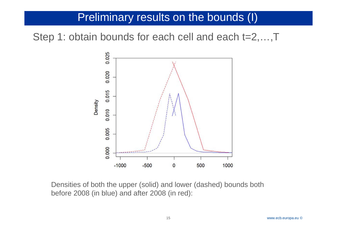## Preliminary results on the bounds (I)

Step 1: obtain bounds for each cell and each t=2,...,T



Densities of both the upper (solid) and lower (dashed) bounds both before 2008 (in blue) and after 2008 (in red):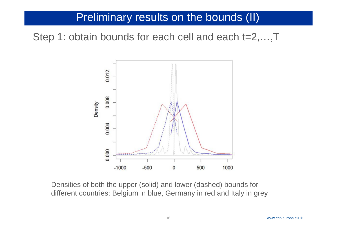## Preliminary results on the bounds (II)

Step 1: obtain bounds for each cell and each t=2,...,T



Densities of both the upper (solid) and lower (dashed) bounds for different countries: Belgium in blue, Germany in red and Italy in grey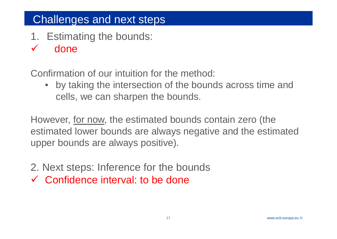### Cha Challenges and next steps

- 1. Estimating the bounds:
- $\checkmark$ done

Confirmation of our intuition for the method:

 $\bullet$  by taking the intersection of the bounds across time and cells, we can sharpen the bounds.

However, for now, the estimated bounds contain zero (the estimated lower bounds are always negative and the estimated upper bounds are always positive).

- 2. Next steps: Inference for the bounds
- Confidence interval: to be done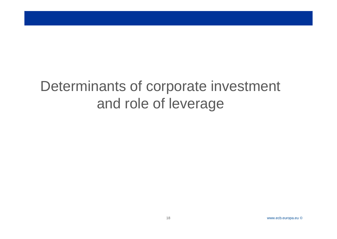## Determinants of corporate investment and role of leverage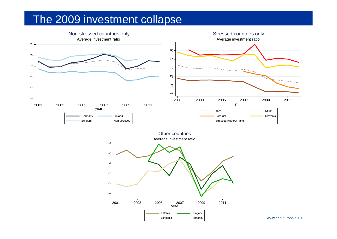### The The 2009 investment collapse

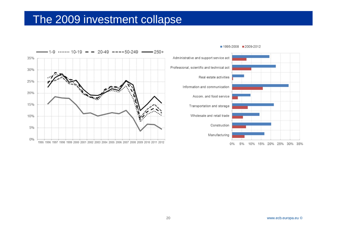### The The 2009 investment collapse



■ 1995-2008 ■ 2009-2012

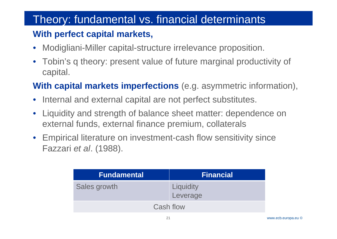### The Theory: fundamental vs. financial determinants

## **With perfect capital markets,**

- $\bullet$ Modigliani-Miller capital-structure irrelevance proposition.
- $\bullet$  Tobin's q theory: present value of future marginal productivity of capital.

## **With capital markets imperfections** (e.g. asymmetric information),

- Internal and external capital are not perfect substitutes.
- Liquidity and strength of balance sheet matter: dependence on external funds, external finance premium, collaterals
- $\bullet$  Empirical literature on investment-cash flow sensitivity since Fazzari *et al*. (1988).

| <b>Fundamental</b> | <b>Financial</b>      |
|--------------------|-----------------------|
| Sales growth       | Liquidity<br>Leverage |
| Cash flow          |                       |

21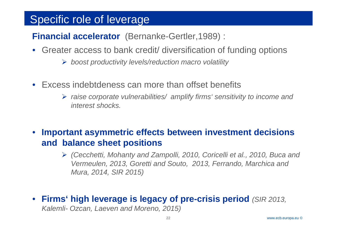### Sner Specific role of leverage

**Financial accelerator** (Bernanke-Gertler,1989) :

- Greater access to bank credit/ diversification of funding options
	- *boost productivity levels/reduction macro volatility*
- Excess indebtdeness can more than offset benefits
	- *raise corporate vulnerabilities/ amplify firms' sensitivity to income and interest shocks.*

## • **Important asymmetric effects between investment decisions and balance sheet positions**

- *(Cecchetti, Mohanty and Zampolli, 2010, Coricelli et al., 2010, Buca and Vermeulen, 2013, Goretti and Souto, 2013, Ferrando, Marchica and Mura, 2014, SIR 2015)*
- **Firms' high leverage is legacy of pre-crisis period** *(SIR 2013,*

*Kalemli- Ozcan, Laeven and Moreno, 2015)*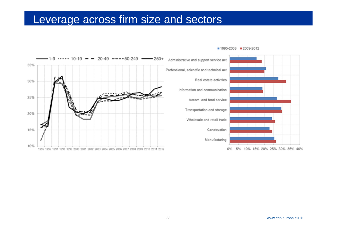### $|$  eve Leverage across firm size and sectors



#### ■ 1995-2008 ■ 2009-2012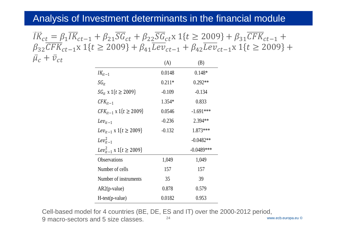### Analysis of Investment determinants in the financial module

 $IK_{ct} = \beta_1 IK_{ct-1} + \beta_{21} SG_{ct} + \beta_{22} SG_{ct}$ x $1\{t \geq 2009\} + \beta_{31} CFK_{ct-1} +$  $\beta_{32}CFK_{ct-1}$ x 1 $\{t \geq 2009\} + \beta_{41}Lev_{ct-1} + \beta_{42}Lev_{ct-1}$ x 1 $\{t \geq 2009\} +$  $\bar{\mu}$  $\overline{c}$  +  $\overline{v}_{ct}$  $\frac{1}{117}$  $(A)$ 

|                                   | (A)      | (B)          |
|-----------------------------------|----------|--------------|
| $IK_{it-1}$                       | 0.0148   | $0.148*$     |
| $SG_{it}$                         | $0.211*$ | $0.292**$    |
| $SG_{it}$ x 1{t ≥ 2009}           | $-0.109$ | $-0.134$     |
| $CFK_{it-1}$                      | 1.354*   | 0.833        |
| $CFK_{it-1}$ x 1{t $\geq$ 2009}   | 0.0546   | $-1.691***$  |
| $Lev_{it-1}$                      | $-0.236$ | 2.394**      |
| $Lev_{it-1}$ x 1{t $\geq$ 2009}   | $-0.132$ | 1.873***     |
| $Lev_{it-1}^2$                    |          | $-0.0482**$  |
| $Lev_{it-1}^2$ x 1{t $\geq$ 2009} |          | $-0.0489***$ |
| <b>Observations</b>               | 1,049    | 1,049        |
| Number of cells                   | 157      | 157          |
| Number of instruments             | 35       | 39           |
| $AR2(p-value)$                    | 0.878    | 0.579        |
| $H-test(p-value)$                 | 0.0182   | 0.953        |

www.ecb.europa.eu © 24 Cell-based model for 4 countries (BE, DE, ES and IT) over the 2000-2012 period, 9 macro-sectors and 5 size classes.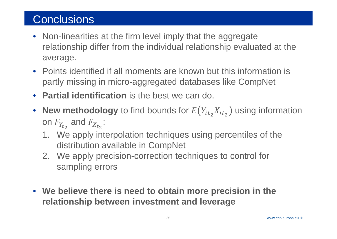## Conclusions

- Non-linearities at the firm level imply that the aggregate relationship differ from the individual relationship evaluated at the average.
- Points identified if all moments are known but this information is partly missing in micro-aggregated databases like CompNet
- **Partial identification** is the best we can do.
- **New methodology** to find bounds for  $E(Y_{it_2}X_{it_2})$  using information on  $F_{Y_{t_2}}$  and  $F_{X_{t_2}}$ :
	- 1. We apply interpolation techniques using percentiles of the distribution available in CompNet
	- 2. We apply precision-correction techniques to control for sampling errors
- **We believe there is need to obtain more precision in the relationship between investment and leverage**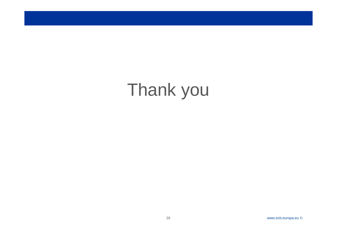# Thank you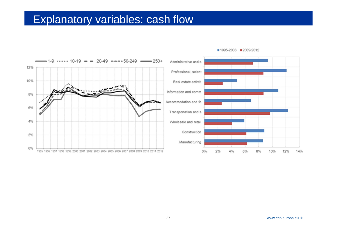### Fxnl Explanatory variables: cash flow



#### ■ 1995-2008 ■ 2009-2012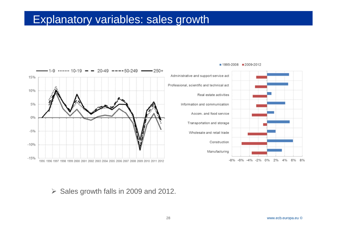### Fxnl Explanatory variables: sales growth



#### ■ 1995-2008 ■ 2009-2012

 $\triangleright$  Sales growth falls in 2009 and 2012.